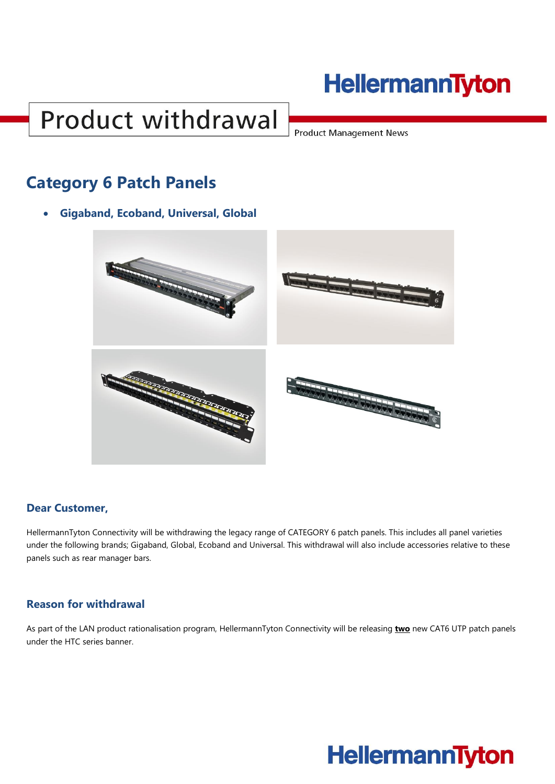## **Product withdrawal**

**Product Management News** 

### **Category 6 Patch Panels**

• **Gigaband, Ecoband, Universal, Global**



#### **Dear Customer,**

HellermannTyton Connectivity will be withdrawing the legacy range of CATEGORY 6 patch panels. This includes all panel varieties under the following brands; Gigaband, Global, Ecoband and Universal. This withdrawal will also include accessories relative to these panels such as rear manager bars.

#### **Reason for withdrawal**

As part of the LAN product rationalisation program, HellermannTyton Connectivity will be releasing **two** new CAT6 UTP patch panels under the HTC series banner.

### **HellermannTyton**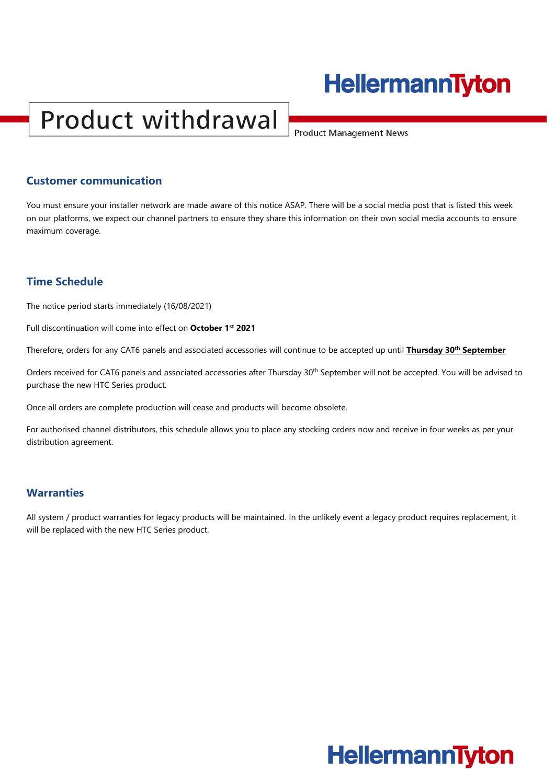# **Product withdrawal**

**Product Management News** 

#### **Customer communication**

You must ensure your installer network are made aware of this notice ASAP. There will be a social media post that is listed this week on our platforms, we expect our channel partners to ensure they share this information on their own social media accounts to ensure maximum coverage.

#### **Time Schedule**

The notice period starts immediately (16/08/2021)

Full discontinuation will come into effect on **October 1st 2021**

Therefore, orders for any CAT6 panels and associated accessories will continue to be accepted up until **Thursday 30th September**

Orders received for CAT6 panels and associated accessories after Thursday 30<sup>th</sup> September will not be accepted. You will be advised to purchase the new HTC Series product.

Once all orders are complete production will cease and products will become obsolete.

For authorised channel distributors, this schedule allows you to place any stocking orders now and receive in four weeks as per your distribution agreement.

#### **Warranties**

All system / product warranties for legacy products will be maintained. In the unlikely event a legacy product requires replacement, it will be replaced with the new HTC Series product.

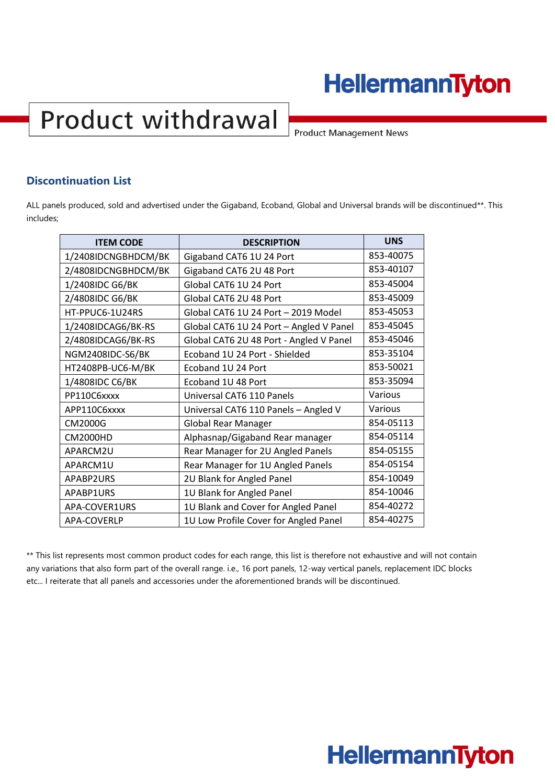# **Product withdrawal**

**Product Management News** 

#### **Discontinuation List**

ALL panels produced, sold and advertised under the Gigaband, Ecoband, Global and Universal brands will be discontinued\*\*. This includes;

| <b>ITEM CODE</b>        | <b>DESCRIPTION</b>                      | <b>UNS</b> |
|-------------------------|-----------------------------------------|------------|
| 1/2408IDCNGBHDCM/BK     | Gigaband CAT6 1U 24 Port                | 853-40075  |
| 2/4808IDCNGBHDCM/BK     | Gigaband CAT6 2U 48 Port                | 853-40107  |
| 1/2408IDC G6/BK         | Global CAT6 1U 24 Port                  | 853-45004  |
| 2/4808IDC G6/BK         | Global CAT6 2U 48 Port                  | 853-45009  |
| HT-PPUC6-1U24RS         | Global CAT6 1U 24 Port - 2019 Model     | 853-45053  |
| 1/2408IDCAG6/BK-RS      | Global CAT6 1U 24 Port - Angled V Panel | 853-45045  |
| 2/4808IDCAG6/BK-RS      | Global CAT6 2U 48 Port - Angled V Panel | 853-45046  |
| <b>NGM2408IDC-S6/BK</b> | Ecoband 1U 24 Port - Shielded           | 853-35104  |
| HT2408PB-UC6-M/BK       | Ecoband 1U 24 Port                      | 853-50021  |
| 1/4808IDC C6/BK         | Ecoband 1U 48 Port                      | 853-35094  |
| PP110C6xxxx             | Universal CAT6 110 Panels               | Various    |
| APP110C6xxxx            | Universal CAT6 110 Panels - Angled V    | Various    |
| CM2000G                 | <b>Global Rear Manager</b>              | 854-05113  |
| <b>CM2000HD</b>         | Alphasnap/Gigaband Rear manager         | 854-05114  |
| APARCM2U                | Rear Manager for 2U Angled Panels       | 854-05155  |
| APARCM1U                | Rear Manager for 1U Angled Panels       | 854-05154  |
| APABP2URS               | 2U Blank for Angled Panel               | 854-10049  |
| APABP1URS               | 1U Blank for Angled Panel               | 854-10046  |
| APA-COVER1URS           | 1U Blank and Cover for Angled Panel     | 854-40272  |
| APA-COVERLP             | 1U Low Profile Cover for Angled Panel   | 854-40275  |

\*\* This list represents most common product codes for each range, this list is therefore not exhaustive and will not contain any variations that also form part of the overall range. i.e., 16 port panels, 12-way vertical panels, replacement IDC blocks etc... I reiterate that all panels and accessories under the aforementioned brands will be discontinued.

### **HellermannTyton**